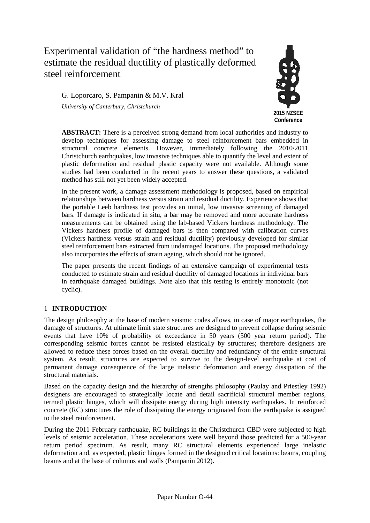# Experimental validation of "the hardness method" to estimate the residual ductility of plastically deformed steel reinforcement

G. Loporcaro, S. Pampanin & M.V. Kral *University of Canterbury, Christchurch*



**ABSTRACT:** There is a perceived strong demand from local authorities and industry to develop techniques for assessing damage to steel reinforcement bars embedded in structural concrete elements. However, immediately following the 2010/2011 Christchurch earthquakes, low invasive techniques able to quantify the level and extent of plastic deformation and residual plastic capacity were not available. Although some studies had been conducted in the recent years to answer these questions, a validated method has still not yet been widely accepted.

In the present work, a damage assessment methodology is proposed, based on empirical relationships between hardness versus strain and residual ductility. Experience shows that the portable Leeb hardness test provides an initial, low invasive screening of damaged bars. If damage is indicated in situ, a bar may be removed and more accurate hardness measurements can be obtained using the lab-based Vickers hardness methodology. The Vickers hardness profile of damaged bars is then compared with calibration curves (Vickers hardness versus strain and residual ductility) previously developed for similar steel reinforcement bars extracted from undamaged locations. The proposed methodology also incorporates the effects of strain ageing, which should not be ignored.

The paper presents the recent findings of an extensive campaign of experimental tests conducted to estimate strain and residual ductility of damaged locations in individual bars in earthquake damaged buildings. Note also that this testing is entirely monotonic (not cyclic).

# 1 **INTRODUCTION**

The design philosophy at the base of modern seismic codes allows, in case of major earthquakes, the damage of structures. At ultimate limit state structures are designed to prevent collapse during seismic events that have 10% of probability of exceedance in 50 years (500 year return period). The corresponding seismic forces cannot be resisted elastically by structures; therefore designers are allowed to reduce these forces based on the overall ductility and redundancy of the entire structural system. As result, structures are expected to survive to the design-level earthquake at cost of permanent damage consequence of the large inelastic deformation and energy dissipation of the structural materials.

Based on the capacity design and the hierarchy of strengths philosophy (Paulay and Priestley 1992) designers are encouraged to strategically locate and detail sacrificial structural member regions, termed plastic hinges, which will dissipate energy during high intensity earthquakes. In reinforced concrete (RC) structures the role of dissipating the energy originated from the earthquake is assigned to the steel reinforcement.

During the 2011 February earthquake, RC buildings in the Christchurch CBD were subjected to high levels of seismic acceleration. These accelerations were well beyond those predicted for a 500-year return period spectrum. As result, many RC structural elements experienced large inelastic deformation and, as expected, plastic hinges formed in the designed critical locations: beams, coupling beams and at the base of columns and walls (Pampanin 2012).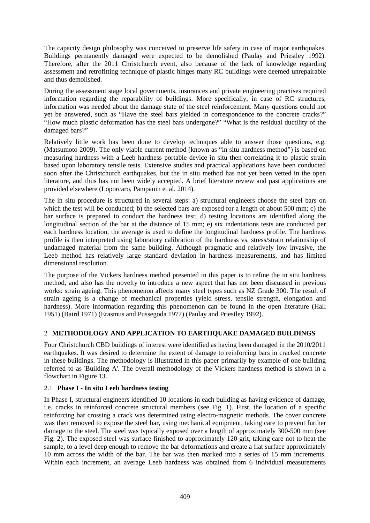The capacity design philosophy was conceived to preserve life safety in case of major earthquakes. Buildings permanently damaged were expected to be demolished (Paulay and Priestley 1992). Therefore, after the 2011 Christchurch event, also because of the lack of knowledge regarding assessment and retrofitting technique of plastic hinges many RC buildings were deemed unrepairable and thus demolished.

During the assessment stage local governments, insurances and private engineering practises required information regarding the reparability of buildings. More specifically, in case of RC structures, information was needed about the damage state of the steel reinforcement. Many questions could not yet be answered, such as "Have the steel bars yielded in correspondence to the concrete cracks?" "How much plastic deformation has the steel bars undergone?" "What is the residual ductility of the damaged bars?"

Relatively little work has been done to develop techniques able to answer those questions, e.g. (Matsumoto 2009). The only viable current method (known as "in situ hardness method") is based on measuring hardness with a Leeb hardness portable device in situ then correlating it to plastic strain based upon laboratory tensile tests. Extensive studies and practical applications have been conducted soon after the Christchurch earthquakes, but the in situ method has not yet been vetted in the open literature, and thus has not been widely accepted. A brief literature review and past applications are provided elsewhere (Loporcaro, Pampanin et al. 2014).

The in situ procedure is structured in several steps: a) structural engineers choose the steel bars on which the test will be conducted; b) the selected bars are exposed for a length of about 500 mm; c) the bar surface is prepared to conduct the hardness test; d) testing locations are identified along the longitudinal section of the bar at the distance of 15 mm; e) six indentations tests are conducted per each hardness location, the average is used to define the longitudinal hardness profile. The hardness profile is then interpreted using laboratory calibration of the hardness vs. stress/strain relationship of undamaged material from the same building. Although pragmatic and relatively low invasive, the Leeb method has relatively large standard deviation in hardness measurements, and has limited dimensional resolution.

The purpose of the Vickers hardness method presented in this paper is to refine the in situ hardness method, and also has the novelty to introduce a new aspect that has not been discussed in previous works: strain ageing. This phenomenon affects many steel types such as NZ Grade 300. The result of strain ageing is a change of mechanical properties (yield stress, tensile strength, elongation and hardness). More information regarding this phenomenon can be found in the open literature (Hall 1951) (Baird 1971) (Erasmus and Pussegoda 1977) (Paulay and Priestley 1992).

# 2 **METHODOLOGY AND APPLICATION TO EARTHQUAKE DAMAGED BUILDINGS**

Four Christchurch CBD buildings of interest were identified as having been damaged in the 2010/2011 earthquakes. It was desired to determine the extent of damage to reinforcing bars in cracked concrete in these buildings. The methodology is illustrated in this paper primarily by example of one building referred to as 'Building A'. The overall methodology of the Vickers hardness method is shown in a flowchart in [Figure 13.](#page-9-0)

# 2.1 **Phase I - In situ Leeb hardness testing**

In Phase I, structural engineers identified 10 locations in each building as having evidence of damage, i.e. cracks in reinforced concrete structural members (see [Fig.](#page-2-0) 1). First, the location of a specific reinforcing bar crossing a crack was determined using electro-magnetic methods. The cover concrete was then removed to expose the steel bar, using mechanical equipment, taking care to prevent further damage to the steel. The steel was typically exposed over a length of approximately 300-500 mm (see [Fig.](#page-2-1) 2). The exposed steel was surface-finished to approximately 120 grit, taking care not to heat the sample, to a level deep enough to remove the bar deformations and create a flat surface approximately 10 mm across the width of the bar. The bar was then marked into a series of 15 mm increments. Within each increment, an average Leeb hardness was obtained from 6 individual measurements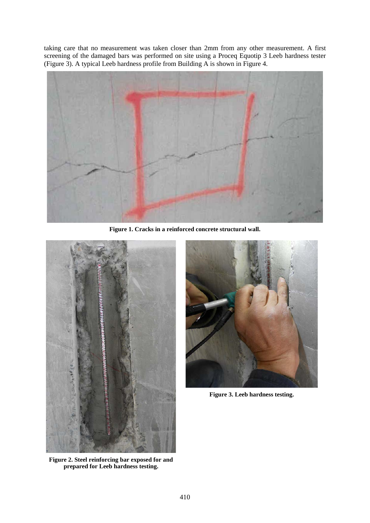taking care that no measurement was taken closer than 2mm from any other measurement. A first screening of the damaged bars was performed on site using a Proceq Equotip 3 Leeb hardness tester [\(Figure 3\)](#page-2-2). A typical Leeb hardness profile from Building A is shown in [Figure 4.](#page-3-0)



**Figure 1. Cracks in a reinforced concrete structural wall.**

<span id="page-2-1"></span><span id="page-2-0"></span>

**Figure 2. Steel reinforcing bar exposed for and prepared for Leeb hardness testing.**

<span id="page-2-2"></span>

**Figure 3. Leeb hardness testing.**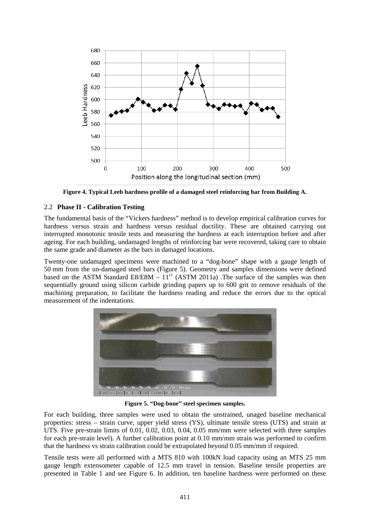

**Figure 4. Typical Leeb hardness profile of a damaged steel reinforcing bar from Building A.**

### <span id="page-3-0"></span>2.2 **Phase II - Calibration Testing**

The fundamental basis of the "Vickers hardness" method is to develop empirical calibration curves for hardness versus strain and hardness versus residual ductility. These are obtained carrying out interrupted monotonic tensile tests and measuring the hardness at each interruption before and after ageing. For each building, undamaged lengths of reinforcing bar were recovered, taking care to obtain the same grade and diameter as the bars in damaged locations.

Twenty-one undamaged specimens were machined to a "dog-bone" shape with a gauge length of 50 mm from the un-damaged steel bars [\(Figure 5\)](#page-3-1). Geometry and samples dimensions were defined based on the ASTM Standard E8/E8M –  $11<sup>ε1</sup>$  (ASTM 2011a). The surface of the samples was then sequentially ground using silicon carbide grinding papers up to 600 grit to remove residuals of the machining preparation, to facilitate the hardness reading and reduce the errors due to the optical measurement of the indentations.



**Figure 5. "Dog-bone" steel specimen samples.**

<span id="page-3-1"></span>For each building, three samples were used to obtain the unstrained, unaged baseline mechanical properties: stress – strain curve, upper yield stress (YS), ultimate tensile stress (UTS) and strain at UTS. Five pre-strain limits of 0.01, 0.02, 0.03, 0.04, 0.05 mm/mm were selected with three samples for each pre-strain level). A further calibration point at 0.10 mm/mm strain was performed to confirm that the hardness vs strain calibration could be extrapolated beyond 0.05 mm/mm if required.

Tensile tests were all performed with a MTS 810 with 100kN load capacity using an MTS 25 mm gauge length extensometer capable of 12.5 mm travel in tension. Baseline tensile properties are presented in [Table 1](#page-4-0) and see [Figure 6.](#page-4-1) In addition, ten baseline hardness were performed on these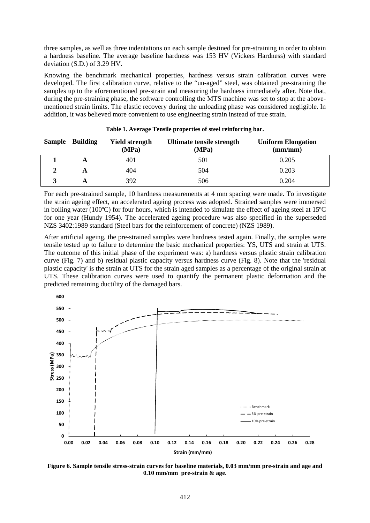three samples, as well as three indentations on each sample destined for pre-straining in order to obtain a hardness baseline. The average baseline hardness was 153 HV (Vickers Hardness) with standard deviation (S.D.) of 3.29 HV.

Knowing the benchmark mechanical properties, hardness versus strain calibration curves were developed. The first calibration curve, relative to the "un-aged" steel, was obtained pre-straining the samples up to the aforementioned pre-strain and measuring the hardness immediately after. Note that, during the pre-straining phase, the software controlling the MTS machine was set to stop at the abovementioned strain limits. The elastic recovery during the unloading phase was considered negligible. In addition, it was believed more convenient to use engineering strain instead of true strain.

<span id="page-4-0"></span>

| Sample Building | <b>Yield strength</b><br>(MPa) | Ultimate tensile strength<br>(MPa) | <b>Uniform Elongation</b><br>$\textbf{(mm/mm)}$ |
|-----------------|--------------------------------|------------------------------------|-------------------------------------------------|
| A               | 401                            | 501                                | 0.205                                           |
| A               | 404                            | 504                                | 0.203                                           |
|                 | 392                            | 506                                | 0.204                                           |

For each pre-strained sample, 10 hardness measurements at 4 mm spacing were made. To investigate the strain ageing effect, an accelerated ageing process was adopted. Strained samples were immersed in boiling water (100ºC) for four hours, which is intended to simulate the effect of ageing steel at 15ºC for one year (Hundy 1954). The accelerated ageing procedure was also specified in the superseded NZS 3402:1989 standard (Steel bars for the reinforcement of concrete) (NZS 1989).

After artificial ageing, the pre-strained samples were hardness tested again. Finally, the samples were tensile tested up to failure to determine the basic mechanical properties: YS, UTS and strain at UTS. The outcome of this initial phase of the experiment was: a) hardness versus plastic strain calibration curve [\(Fig. 7\)](#page-5-0) and b) residual plastic capacity versus hardness curve [\(Fig. 8\)](#page-5-1). Note that the 'residual plastic capacity' is the strain at UTS for the strain aged samples as a percentage of the original strain at UTS. These calibration curves were used to quantify the permanent plastic deformation and the predicted remaining ductility of the damaged bars.



<span id="page-4-1"></span>**Figure 6. Sample tensile stress-strain curves for baseline materials, 0.03 mm/mm pre-strain and age and 0.10 mm/mm pre-strain & age.**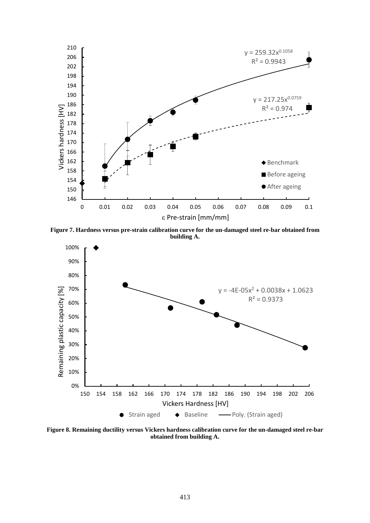

<span id="page-5-0"></span>**Figure 7. Hardness versus pre-strain calibration curve for the un-damaged steel re-bar obtained from building A.**



<span id="page-5-1"></span>**Figure 8. Remaining ductility versus Vickers hardness calibration curve for the un-damaged steel re-bar obtained from building A.**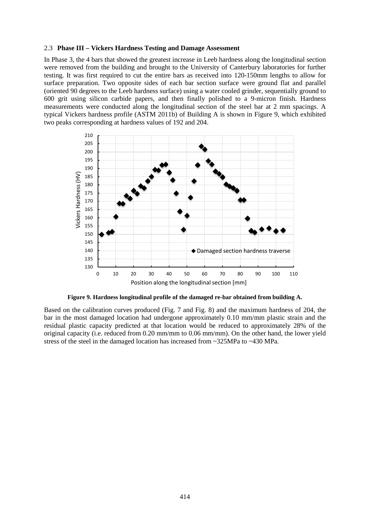#### 2.3 **Phase III – Vickers Hardness Testing and Damage Assessment**

In Phase 3, the 4 bars that showed the greatest increase in Leeb hardness along the longitudinal section were removed from the building and brought to the University of Canterbury laboratories for further testing. It was first required to cut the entire bars as received into 120-150mm lengths to allow for surface preparation. Two opposite sides of each bar section surface were ground flat and parallel (oriented 90 degrees to the Leeb hardness surface) using a water cooled grinder, sequentially ground to 600 grit using silicon carbide papers, and then finally polished to a 9-micron finish. Hardness measurements were conducted along the longitudinal section of the steel bar at 2 mm spacings. A typical Vickers hardness profile (ASTM 2011b) of Building A is shown in [Figure 9,](#page-6-0) which exhibited two peaks corresponding at hardness values of 192 and 204.



**Figure 9. Hardness longitudinal profile of the damaged re-bar obtained from building A.**

<span id="page-6-0"></span>Based on the calibration curves produced [\(Fig. 7](#page-5-0) and [Fig.](#page-5-1) 8) and the maximum hardness of 204, the bar in the most damaged location had undergone approximately 0.10 mm/mm plastic strain and the residual plastic capacity predicted at that location would be reduced to approximately 28% of the original capacity (i.e. reduced from 0.20 mm/mm to 0.06 mm/mm). On the other hand, the lower yield stress of the steel in the damaged location has increased from ~325MPa to ~430 MPa.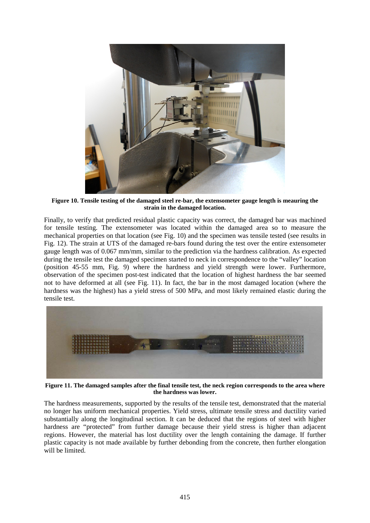

**Figure 10. Tensile testing of the damaged steel re-bar, the extensometer gauge length is meauring the strain in the damaged location.**

<span id="page-7-0"></span>Finally, to verify that predicted residual plastic capacity was correct, the damaged bar was machined for tensile testing. The extensometer was located within the damaged area so to measure the mechanical properties on that location (see [Fig.](#page-7-0) 10) and the specimen was tensile tested (see results in [Fig.](#page-8-0) 12). The strain at UTS of the damaged re-bars found during the test over the entire extensometer gauge length was of 0.067 mm/mm, similar to the prediction via the hardness calibration. As expected during the tensile test the damaged specimen started to neck in correspondence to the "valley" location (position 45-55 mm, [Fig.](#page-6-0) 9) where the hardness and yield strength were lower. Furthermore, observation of the specimen post-test indicated that the location of highest hardness the bar seemed not to have deformed at all (see [Fig.](#page-7-1) 11). In fact, the bar in the most damaged location (where the hardness was the highest) has a yield stress of 500 MPa, and most likely remained elastic during the tensile test.



**Figure 11. The damaged samples after the final tensile test, the neck region corresponds to the area where the hardness was lower.**

<span id="page-7-1"></span>The hardness measurements, supported by the results of the tensile test, demonstrated that the material no longer has uniform mechanical properties. Yield stress, ultimate tensile stress and ductility varied substantially along the longitudinal section. It can be deduced that the regions of steel with higher hardness are "protected" from further damage because their yield stress is higher than adjacent regions. However, the material has lost ductility over the length containing the damage. If further plastic capacity is not made available by further debonding from the concrete, then further elongation will be limited.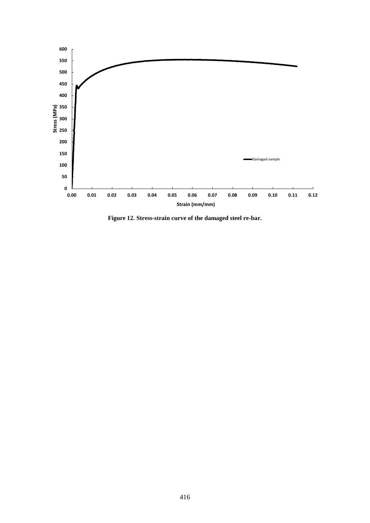

<span id="page-8-0"></span>**Figure 12. Stress-strain curve of the damaged steel re-bar.**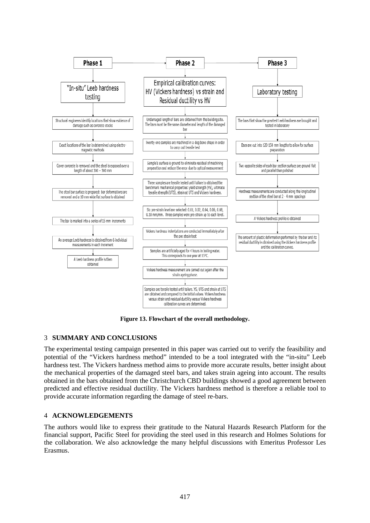

**Figure 13. Flowchart of the overall methodology.**

#### <span id="page-9-0"></span>3 **SUMMARY AND CONCLUSIONS**

The experimental testing campaign presented in this paper was carried out to verify the feasibility and potential of the "Vickers hardness method" intended to be a tool integrated with the "in-situ" Leeb hardness test. The Vickers hardness method aims to provide more accurate results, better insight about the mechanical properties of the damaged steel bars, and takes strain ageing into account. The results obtained in the bars obtained from the Christchurch CBD buildings showed a good agreement between predicted and effective residual ductility. The Vickers hardness method is therefore a reliable tool to provide accurate information regarding the damage of steel re-bars.

#### 4 **ACKNOWLEDGEMENTS**

The authors would like to express their gratitude to the Natural Hazards Research Platform for the financial support, Pacific Steel for providing the steel used in this research and Holmes Solutions for the collaboration. We also acknowledge the many helpful discussions with Emeritus Professor Les Erasmus.